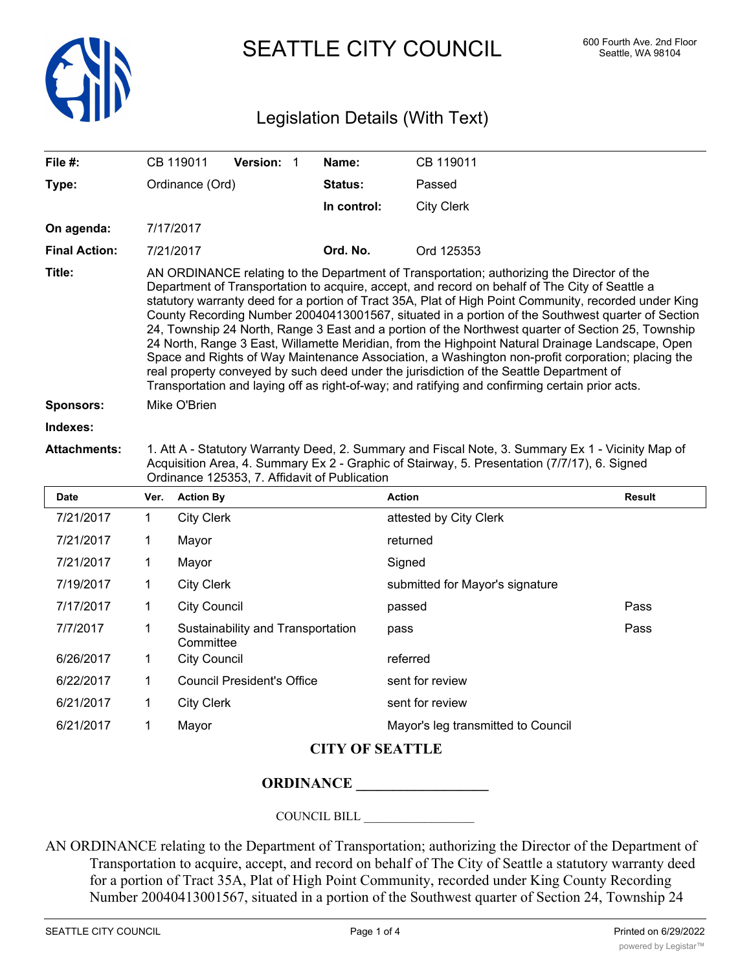

SEATTLE CITY COUNCIL 600 Fourth Ave. 2nd Floor

## Legislation Details (With Text)

| File #:              | CB 119011<br><b>Version: 1</b>                                                                                                                                                                                                                                                                                                                                                                                                                                                                                                                                                                                                                                                                                                                                                                                                                                                                                          | Name:       | CB 119011         |  |  |  |
|----------------------|-------------------------------------------------------------------------------------------------------------------------------------------------------------------------------------------------------------------------------------------------------------------------------------------------------------------------------------------------------------------------------------------------------------------------------------------------------------------------------------------------------------------------------------------------------------------------------------------------------------------------------------------------------------------------------------------------------------------------------------------------------------------------------------------------------------------------------------------------------------------------------------------------------------------------|-------------|-------------------|--|--|--|
| Type:                | Ordinance (Ord)                                                                                                                                                                                                                                                                                                                                                                                                                                                                                                                                                                                                                                                                                                                                                                                                                                                                                                         | Status:     | Passed            |  |  |  |
|                      |                                                                                                                                                                                                                                                                                                                                                                                                                                                                                                                                                                                                                                                                                                                                                                                                                                                                                                                         | In control: | <b>City Clerk</b> |  |  |  |
| On agenda:           | 7/17/2017                                                                                                                                                                                                                                                                                                                                                                                                                                                                                                                                                                                                                                                                                                                                                                                                                                                                                                               |             |                   |  |  |  |
| <b>Final Action:</b> | 7/21/2017                                                                                                                                                                                                                                                                                                                                                                                                                                                                                                                                                                                                                                                                                                                                                                                                                                                                                                               | Ord. No.    | Ord 125353        |  |  |  |
| Title:               | AN ORDINANCE relating to the Department of Transportation; authorizing the Director of the<br>Department of Transportation to acquire, accept, and record on behalf of The City of Seattle a<br>statutory warranty deed for a portion of Tract 35A, Plat of High Point Community, recorded under King<br>County Recording Number 20040413001567, situated in a portion of the Southwest quarter of Section<br>24, Township 24 North, Range 3 East and a portion of the Northwest quarter of Section 25, Township<br>24 North, Range 3 East, Willamette Meridian, from the Highpoint Natural Drainage Landscape, Open<br>Space and Rights of Way Maintenance Association, a Washington non-profit corporation; placing the<br>real property conveyed by such deed under the jurisdiction of the Seattle Department of<br>Transportation and laying off as right-of-way; and ratifying and confirming certain prior acts. |             |                   |  |  |  |
| <b>Sponsors:</b>     | Mike O'Brien                                                                                                                                                                                                                                                                                                                                                                                                                                                                                                                                                                                                                                                                                                                                                                                                                                                                                                            |             |                   |  |  |  |
| Indexes:             |                                                                                                                                                                                                                                                                                                                                                                                                                                                                                                                                                                                                                                                                                                                                                                                                                                                                                                                         |             |                   |  |  |  |
| <b>Attachments:</b>  | 1. Att A - Statutory Warranty Deed, 2. Summary and Fiscal Note, 3. Summary Ex 1 - Vicinity Map of<br>Acquisition Area, 4. Summary Ex 2 - Graphic of Stairway, 5. Presentation (7/7/17), 6. Signed                                                                                                                                                                                                                                                                                                                                                                                                                                                                                                                                                                                                                                                                                                                       |             |                   |  |  |  |

|           | Ordinance 125353, 7. Affidavit of Publication |                                                |                                    |               |  |
|-----------|-----------------------------------------------|------------------------------------------------|------------------------------------|---------------|--|
| Date      | Ver.                                          | <b>Action By</b>                               | <b>Action</b>                      | <b>Result</b> |  |
| 7/21/2017 | 1                                             | <b>City Clerk</b>                              | attested by City Clerk             |               |  |
| 7/21/2017 | 1                                             | Mayor                                          | returned                           |               |  |
| 7/21/2017 | 1                                             | Mayor                                          | Signed                             |               |  |
| 7/19/2017 | 1                                             | <b>City Clerk</b>                              | submitted for Mayor's signature    |               |  |
| 7/17/2017 | 1                                             | <b>City Council</b>                            | passed                             | Pass          |  |
| 7/7/2017  | 1                                             | Sustainability and Transportation<br>Committee | pass                               | Pass          |  |
| 6/26/2017 | 1                                             | <b>City Council</b>                            | referred                           |               |  |
| 6/22/2017 | 1                                             | <b>Council President's Office</b>              | sent for review                    |               |  |
| 6/21/2017 | 1                                             | <b>City Clerk</b>                              | sent for review                    |               |  |
| 6/21/2017 | 1                                             | Mayor                                          | Mayor's leg transmitted to Council |               |  |

## **CITY OF SEATTLE**

## **ORDINANCE \_\_\_\_\_\_\_\_\_\_\_\_\_\_\_\_\_\_**

COUNCIL BILL \_\_\_\_\_\_\_\_\_\_\_\_\_\_\_\_\_\_

AN ORDINANCE relating to the Department of Transportation; authorizing the Director of the Department of Transportation to acquire, accept, and record on behalf of The City of Seattle a statutory warranty deed for a portion of Tract 35A, Plat of High Point Community, recorded under King County Recording Number 20040413001567, situated in a portion of the Southwest quarter of Section 24, Township 24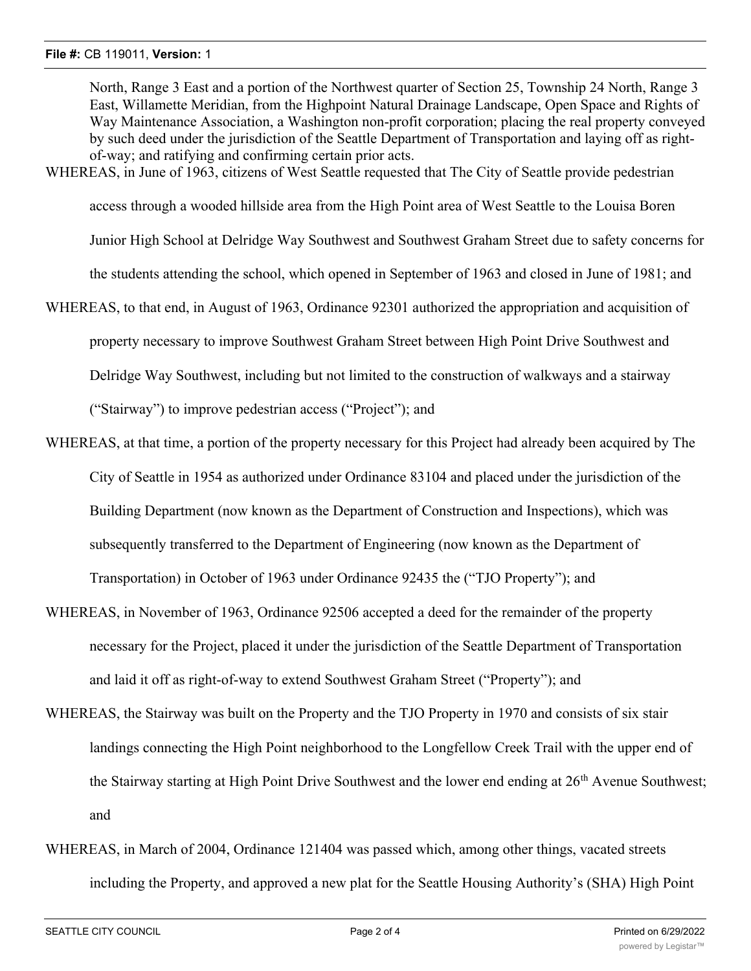North, Range 3 East and a portion of the Northwest quarter of Section 25, Township 24 North, Range 3 East, Willamette Meridian, from the Highpoint Natural Drainage Landscape, Open Space and Rights of Way Maintenance Association, a Washington non-profit corporation; placing the real property conveyed by such deed under the jurisdiction of the Seattle Department of Transportation and laying off as rightof-way; and ratifying and confirming certain prior acts.

WHEREAS, in June of 1963, citizens of West Seattle requested that The City of Seattle provide pedestrian

access through a wooded hillside area from the High Point area of West Seattle to the Louisa Boren

Junior High School at Delridge Way Southwest and Southwest Graham Street due to safety concerns for

the students attending the school, which opened in September of 1963 and closed in June of 1981; and

WHEREAS, to that end, in August of 1963, Ordinance 92301 authorized the appropriation and acquisition of property necessary to improve Southwest Graham Street between High Point Drive Southwest and Delridge Way Southwest, including but not limited to the construction of walkways and a stairway

("Stairway") to improve pedestrian access ("Project"); and

- WHEREAS, at that time, a portion of the property necessary for this Project had already been acquired by The City of Seattle in 1954 as authorized under Ordinance 83104 and placed under the jurisdiction of the Building Department (now known as the Department of Construction and Inspections), which was subsequently transferred to the Department of Engineering (now known as the Department of Transportation) in October of 1963 under Ordinance 92435 the ("TJO Property"); and
- WHEREAS, in November of 1963, Ordinance 92506 accepted a deed for the remainder of the property necessary for the Project, placed it under the jurisdiction of the Seattle Department of Transportation and laid it off as right-of-way to extend Southwest Graham Street ("Property"); and
- WHEREAS, the Stairway was built on the Property and the TJO Property in 1970 and consists of six stair landings connecting the High Point neighborhood to the Longfellow Creek Trail with the upper end of the Stairway starting at High Point Drive Southwest and the lower end ending at 26<sup>th</sup> Avenue Southwest; and
- WHEREAS, in March of 2004, Ordinance 121404 was passed which, among other things, vacated streets including the Property, and approved a new plat for the Seattle Housing Authority's (SHA) High Point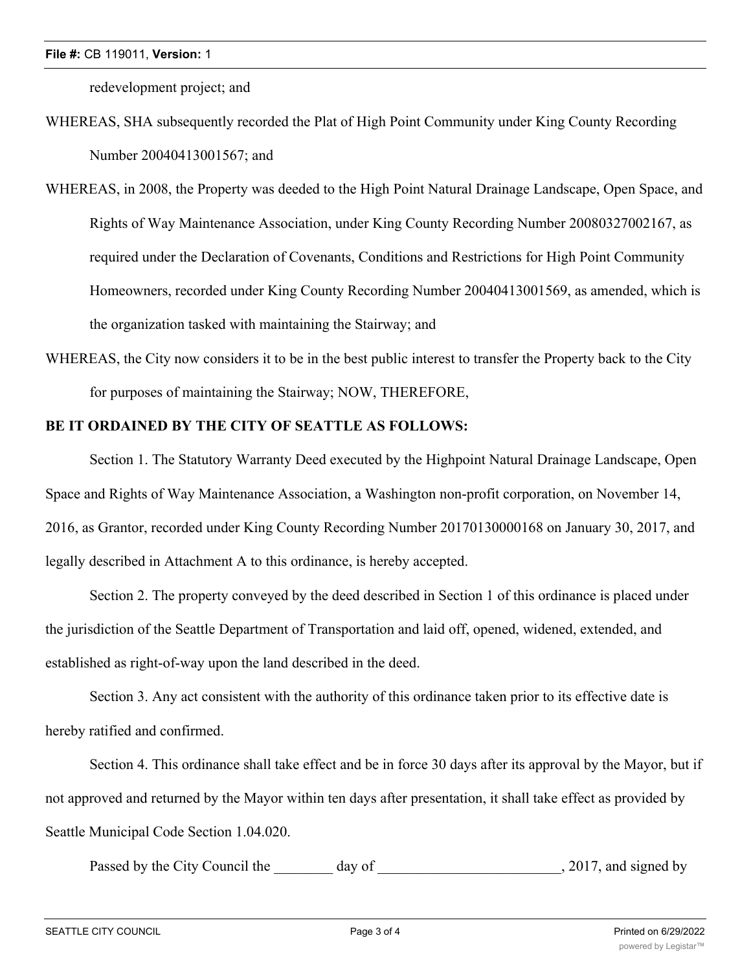redevelopment project; and

- WHEREAS, SHA subsequently recorded the Plat of High Point Community under King County Recording Number 20040413001567; and
- WHEREAS, in 2008, the Property was deeded to the High Point Natural Drainage Landscape, Open Space, and Rights of Way Maintenance Association, under King County Recording Number 20080327002167, as required under the Declaration of Covenants, Conditions and Restrictions for High Point Community Homeowners, recorded under King County Recording Number 20040413001569, as amended, which is the organization tasked with maintaining the Stairway; and
- WHEREAS, the City now considers it to be in the best public interest to transfer the Property back to the City for purposes of maintaining the Stairway; NOW, THEREFORE,

## **BE IT ORDAINED BY THE CITY OF SEATTLE AS FOLLOWS:**

Section 1. The Statutory Warranty Deed executed by the Highpoint Natural Drainage Landscape, Open Space and Rights of Way Maintenance Association, a Washington non-profit corporation, on November 14, 2016, as Grantor, recorded under King County Recording Number 20170130000168 on January 30, 2017, and legally described in Attachment A to this ordinance, is hereby accepted.

Section 2. The property conveyed by the deed described in Section 1 of this ordinance is placed under the jurisdiction of the Seattle Department of Transportation and laid off, opened, widened, extended, and established as right-of-way upon the land described in the deed.

Section 3. Any act consistent with the authority of this ordinance taken prior to its effective date is hereby ratified and confirmed.

Section 4. This ordinance shall take effect and be in force 30 days after its approval by the Mayor, but if not approved and returned by the Mayor within ten days after presentation, it shall take effect as provided by Seattle Municipal Code Section 1.04.020.

Passed by the City Council the day of the case of the council the day of the case of the case of the council the day of the case of the case of the case of the case of the case of the case of the case of the case of the ca